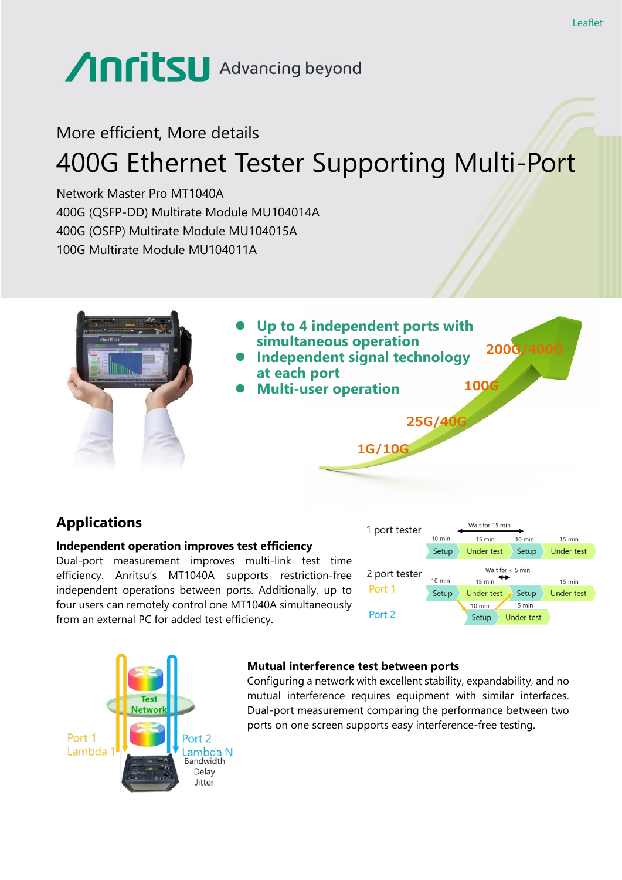# Anritsu Advancing beyond

# More efficient, More details 400G Ethernet Tester Supporting Multi-Port

Network Master Pro MT1040A 400G (QSFP-DD) Multirate Module MU104014A 400G (OSFP) Multirate Module MU104015A 100G Multirate Module MU104011A



# **Applications**

#### **Independent operation improves test efficiency**

Dual-port measurement improves multi-link test time efficiency. Anritsu's MT1040A supports restriction-free independent operations between ports. Additionally, up to four users can remotely control one MT1040A simultaneously from an external PC for added test efficiency.





#### **Mutual interference test between ports**

Configuring a network with excellent stability, expandability, and no mutual interference requires equipment with similar interfaces. Dual-port measurement comparing the performance between two ports on one screen supports easy interference-free testing.